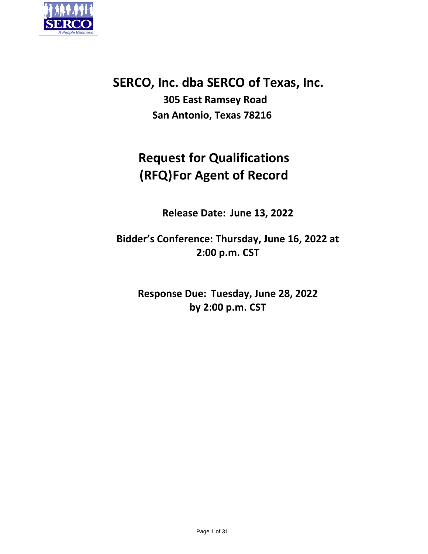

# **SERCO, Inc. dba SERCO of Texas, Inc.**

**305 East Ramsey Road San Antonio, Texas 78216**

# **Request for Qualifications (RFQ)For Agent of Record**

**Release Date: June 13, 2022**

**Bidder's Conference: Thursday, June 16, 2022 at 2:00 p.m. CST**

**Response Due: Tuesday, June 28, 2022 by 2:00 p.m. CST**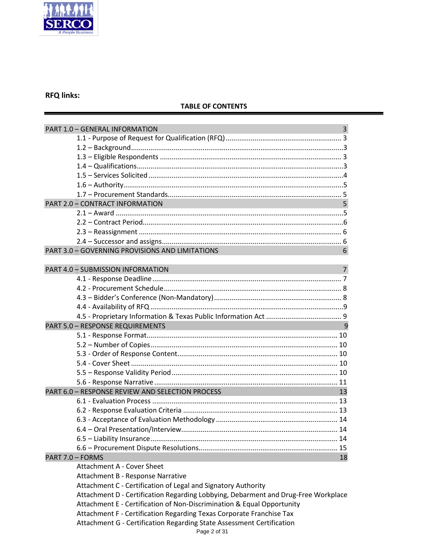

# **RFQ links:**

# **TABLE OF CONTENTS**

| PART 1.0 - GENERAL INFORMATION                                                     | $\overline{\mathbf{3}}$ |
|------------------------------------------------------------------------------------|-------------------------|
|                                                                                    |                         |
|                                                                                    |                         |
|                                                                                    |                         |
|                                                                                    |                         |
|                                                                                    |                         |
|                                                                                    |                         |
|                                                                                    |                         |
| <b>PART 2.0 - CONTRACT INFORMATION</b>                                             | 5                       |
|                                                                                    |                         |
|                                                                                    |                         |
|                                                                                    |                         |
|                                                                                    |                         |
| PART 3.0 - GOVERNING PROVISIONS AND LIMITATIONS                                    | 6                       |
|                                                                                    |                         |
| PART 4.0 - SUBMISSION INFORMATION                                                  | $\overline{7}$          |
|                                                                                    |                         |
|                                                                                    |                         |
|                                                                                    |                         |
|                                                                                    |                         |
|                                                                                    |                         |
| <b>PART 5.0 - RESPONSE REQUIREMENTS</b>                                            | 9                       |
|                                                                                    |                         |
|                                                                                    |                         |
|                                                                                    |                         |
|                                                                                    |                         |
|                                                                                    |                         |
|                                                                                    |                         |
| PART 6.0 - RESPONSE REVIEW AND SELECTION PROCESS                                   | 13                      |
|                                                                                    |                         |
|                                                                                    |                         |
|                                                                                    |                         |
|                                                                                    |                         |
|                                                                                    |                         |
|                                                                                    |                         |
| PART 7.0 - FORMS                                                                   | 18                      |
| <b>Attachment A - Cover Sheet</b>                                                  |                         |
| Attachment B - Response Narrative                                                  |                         |
| Attachment C - Certification of Legal and Signatory Authority                      |                         |
| Attachment D - Certification Regarding Lobbying, Debarment and Drug-Free Workplace |                         |
| Attachment E - Certification of Non-Discrimination & Equal Opportunity             |                         |
| Attachment F - Certification Regarding Texas Corporate Franchise Tax               |                         |
| Attachment G - Certification Regarding State Assessment Certification              |                         |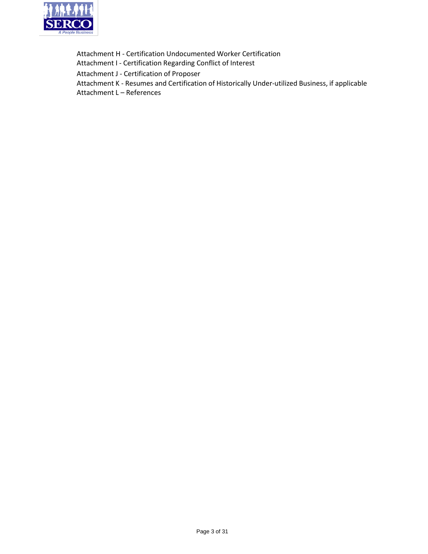

Attachment H ‐ Certification Undocumented Worker Certification Attachment I ‐ Certification Regarding Conflict of Interest Attachment J ‐ Certification of Proposer Attachment K ‐ Resumes and Certification of Historically Under‐utilized Business, if applicable Attachment L – References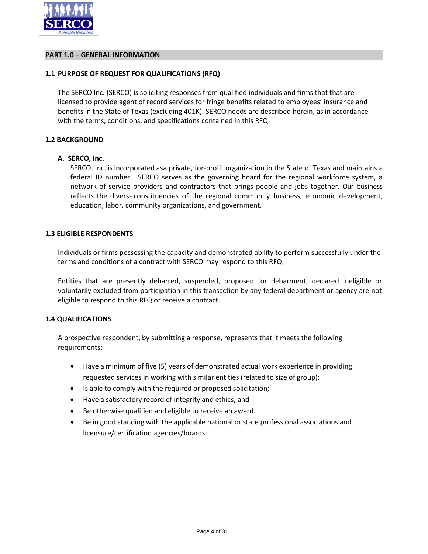

#### **PART 1.0 – GENERAL INFORMATION**

#### **1.1 PURPOSE OF REQUEST FOR QUALIFICATIONS (RFQ)**

The SERCO Inc. (SERCO) is soliciting responses from qualified individuals and firms that that are licensed to provide agent of record services for fringe benefits related to employees' insurance and benefits in the State of Texas (excluding 401K). SERCO needs are described herein, as in accordance with the terms, conditions, and specifications contained in this RFQ.

#### **1.2 BACKGROUND**

#### **A. SERCO, Inc.**

SERCO, Inc. is incorporated asa private, for-profit organization in the State of Texas and maintains a federal ID number. SERCO serves as the governing board for the regional workforce system, a network of service providers and contractors that brings people and jobs together. Our business reflects the diverseconstituencies of the regional community business, economic development, education, labor, community organizations, and government.

#### **1.3 ELIGIBLE RESPONDENTS**

Individuals or firms possessing the capacity and demonstrated ability to perform successfully under the terms and conditions of a contract with SERCO may respond to this RFQ.

Entities that are presently debarred, suspended, proposed for debarment, declared ineligible or voluntarily excluded from participation in this transaction by any federal department or agency are not eligible to respond to this RFQ or receive a contract.

# **1.4 QUALIFICATIONS**

A prospective respondent, by submitting a response, represents that it meets the following requirements:

- Have a minimum of five (5) years of demonstrated actual work experience in providing requested services in working with similar entities (related to size of group);
- Is able to comply with the required or proposed solicitation;
- Have a satisfactory record of integrity and ethics; and
- Be otherwise qualified and eligible to receive an award.
- Be in good standing with the applicable national or state professional associations and licensure/certification agencies/boards.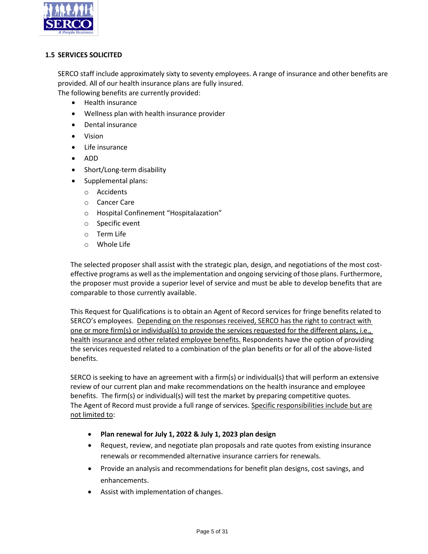

# **1.5 SERVICES SOLICITED**

SERCO staff include approximately sixty to seventy employees. A range of insurance and other benefits are provided. All of our health insurance plans are fully insured. The following benefits are currently provided:

- Health insurance
- Wellness plan with health insurance provider
- Dental insurance
- Vision
- Life insurance
- ADD
- Short/Long‐term disability
- Supplemental plans:
	- o Accidents
	- o Cancer Care
	- o Hospital Confinement "Hospitalazation"
	- o Specific event
	- o Term Life
	- o Whole Life

The selected proposer shall assist with the strategic plan, design, and negotiations of the most cost‐ effective programs as well asthe implementation and ongoing servicing of those plans. Furthermore, the proposer must provide a superior level of service and must be able to develop benefits that are comparable to those currently available.

This Request for Qualifications is to obtain an Agent of Record services for fringe benefits related to SERCO's employees. Depending on the responses received, SERCO has the right to contract with one or more firm(s) or individual(s) to provide the services requested for the different plans, i.e., health insurance and other related employee benefits. Respondents have the option of providing the services requested related to a combination of the plan benefits or for all of the above-listed benefits.

SERCO is seeking to have an agreement with a firm(s) or individual(s) that will perform an extensive review of our current plan and make recommendations on the health insurance and employee benefits. The firm(s) or individual(s) will test the market by preparing competitive quotes. The Agent of Record must provide a full range of services. Specific responsibilities include but are not limited to:

- **Plan renewal for July 1, 2022 & July 1, 2023 plan design**
- Request, review, and negotiate plan proposals and rate quotes from existing insurance renewals or recommended alternative insurance carriers for renewals.
- Provide an analysis and recommendations for benefit plan designs, cost savings, and enhancements.
- Assist with implementation of changes.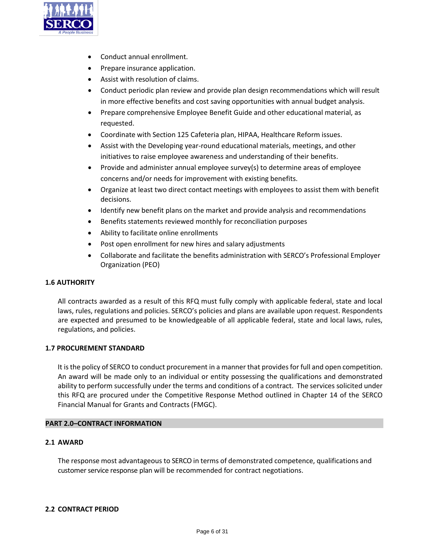

- Conduct annual enrollment.
- Prepare insurance application.
- Assist with resolution of claims.
- Conduct periodic plan review and provide plan design recommendations which will result in more effective benefits and cost saving opportunities with annual budget analysis.
- Prepare comprehensive Employee Benefit Guide and other educational material, as requested.
- Coordinate with Section 125 Cafeteria plan, HIPAA, Healthcare Reform issues.
- Assist with the Developing year-round educational materials, meetings, and other initiatives to raise employee awareness and understanding of their benefits.
- Provide and administer annual employee survey(s) to determine areas of employee concerns and/or needs for improvement with existing benefits.
- Organize at least two direct contact meetings with employees to assist them with benefit decisions.
- Identify new benefit plans on the market and provide analysis and recommendations
- Benefits statements reviewed monthly for reconciliation purposes
- Ability to facilitate online enrollments
- Post open enrollment for new hires and salary adjustments
- Collaborate and facilitate the benefits administration with SERCO's Professional Employer Organization (PEO)

# **1.6 AUTHORITY**

All contracts awarded as a result of this RFQ must fully comply with applicable federal, state and local laws, rules, regulations and policies. SERCO's policies and plans are available upon request. Respondents are expected and presumed to be knowledgeable of all applicable federal, state and local laws, rules, regulations, and policies.

# **1.7 PROCUREMENT STANDARD**

It is the policy of SERCO to conduct procurement in a manner that provides for full and open competition. An award will be made only to an individual or entity possessing the qualifications and demonstrated ability to perform successfully under the terms and conditions of a contract. The services solicited under this RFQ are procured under the Competitive Response Method outlined in Chapter 14 of the SERCO Financial Manual for Grants and Contracts (FMGC).

# **PART 2.0–CONTRACT INFORMATION**

# **2.1 AWARD**

The response most advantageous to SERCO in terms of demonstrated competence, qualifications and customer service response plan will be recommended for contract negotiations.

# **2.2 CONTRACT PERIOD**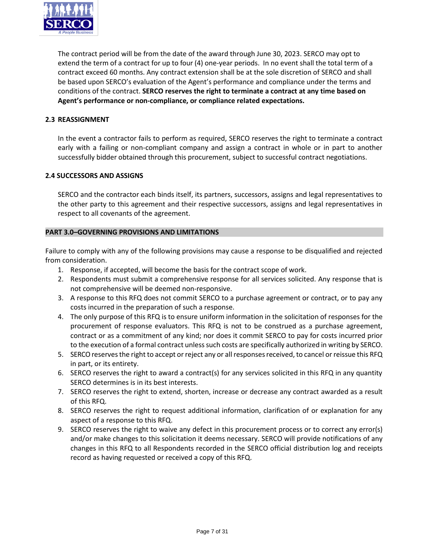

The contract period will be from the date of the award through June 30, 2023. SERCO may opt to extend the term of a contract for up to four (4) one-year periods. In no event shall the total term of a contract exceed 60 months. Any contract extension shall be at the sole discretion of SERCO and shall be based upon SERCO's evaluation of the Agent's performance and compliance under the terms and conditions of the contract. **SERCO reserves the right to terminate a contract at any time based on Agent's performance or non‐compliance, or compliance related expectations.**

# **2.3 REASSIGNMENT**

In the event a contractor fails to perform as required, SERCO reserves the right to terminate a contract early with a failing or non‐compliant company and assign a contract in whole or in part to another successfully bidder obtained through this procurement, subject to successful contract negotiations.

#### **2.4 SUCCESSORS AND ASSIGNS**

SERCO and the contractor each binds itself, its partners, successors, assigns and legal representatives to the other party to this agreement and their respective successors, assigns and legal representatives in respect to all covenants of the agreement.

#### **PART 3.0–GOVERNING PROVISIONS AND LIMITATIONS**

Failure to comply with any of the following provisions may cause a response to be disqualified and rejected from consideration.

- 1. Response, if accepted, will become the basis for the contract scope of work.
- 2. Respondents must submit a comprehensive response for all services solicited. Any response that is not comprehensive will be deemed non‐responsive.
- 3. A response to this RFQ does not commit SERCO to a purchase agreement or contract, or to pay any costs incurred in the preparation of such a response.
- 4. The only purpose of this RFQ is to ensure uniform information in the solicitation of responses for the procurement of response evaluators. This RFQ is not to be construed as a purchase agreement, contract or as a commitment of any kind; nor does it commit SERCO to pay for costs incurred prior to the execution of a formal contract unless such costs are specifically authorized in writing by SERCO.
- 5. SERCO reserves the right to accept or reject any or all responses received, to cancel or reissue this RFQ in part, or its entirety.
- 6. SERCO reserves the right to award a contract(s) for any services solicited in this RFQ in any quantity SERCO determines is in its best interests.
- 7. SERCO reserves the right to extend, shorten, increase or decrease any contract awarded as a result of this RFQ.
- 8. SERCO reserves the right to request additional information, clarification of or explanation for any aspect of a response to this RFQ.
- 9. SERCO reserves the right to waive any defect in this procurement process or to correct any error(s) and/or make changes to this solicitation it deems necessary. SERCO will provide notifications of any changes in this RFQ to all Respondents recorded in the SERCO official distribution log and receipts record as having requested or received a copy of this RFQ.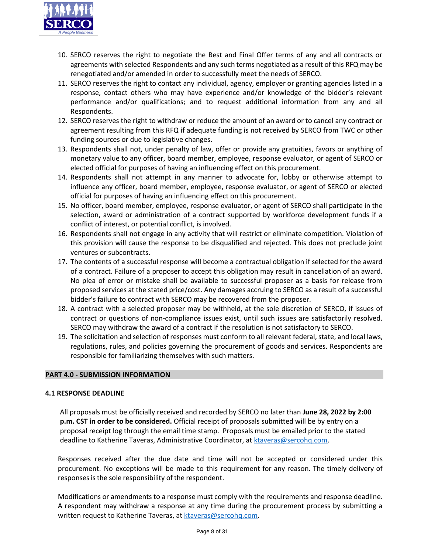

- 10. SERCO reserves the right to negotiate the Best and Final Offer terms of any and all contracts or agreements with selected Respondents and any such terms negotiated as a result of this RFQ may be renegotiated and/or amended in order to successfully meet the needs of SERCO.
- 11. SERCO reserves the right to contact any individual, agency, employer or granting agencies listed in a response, contact others who may have experience and/or knowledge of the bidder's relevant performance and/or qualifications; and to request additional information from any and all Respondents.
- 12. SERCO reserves the right to withdraw or reduce the amount of an award or to cancel any contract or agreement resulting from this RFQ if adequate funding is not received by SERCO from TWC or other funding sources or due to legislative changes.
- 13. Respondents shall not, under penalty of law, offer or provide any gratuities, favors or anything of monetary value to any officer, board member, employee, response evaluator, or agent of SERCO or elected official for purposes of having an influencing effect on this procurement.
- 14. Respondents shall not attempt in any manner to advocate for, lobby or otherwise attempt to influence any officer, board member, employee, response evaluator, or agent of SERCO or elected official for purposes of having an influencing effect on this procurement.
- 15. No officer, board member, employee, response evaluator, or agent of SERCO shall participate in the selection, award or administration of a contract supported by workforce development funds if a conflict of interest, or potential conflict, is involved.
- 16. Respondents shall not engage in any activity that will restrict or eliminate competition. Violation of this provision will cause the response to be disqualified and rejected. This does not preclude joint ventures or subcontracts.
- 17. The contents of a successful response will become a contractual obligation if selected for the award of a contract. Failure of a proposer to accept this obligation may result in cancellation of an award. No plea of error or mistake shall be available to successful proposer as a basis for release from proposed services at the stated price/cost. Any damages accruing to SERCO as a result of a successful bidder's failure to contract with SERCO may be recovered from the proposer.
- 18. A contract with a selected proposer may be withheld, at the sole discretion of SERCO, if issues of contract or questions of non‐compliance issues exist, until such issues are satisfactorily resolved. SERCO may withdraw the award of a contract if the resolution is not satisfactory to SERCO.
- 19. The solicitation and selection of responses must conform to all relevant federal, state, and local laws, regulations, rules, and policies governing the procurement of goods and services. Respondents are responsible for familiarizing themselves with such matters.

# **PART 4.0 ‐ SUBMISSION INFORMATION**

# **4.1 RESPONSE DEADLINE**

All proposals must be officially received and recorded by SERCO no later than **June 28, 2022 by 2:00 p.m. CST in order to be considered.** Official receipt of proposals submitted will be by entry on a proposal receipt log through the email time stamp. Proposals must be emailed prior to the stated deadline to Katherine Taveras, Administrative Coordinator, at [ktaveras@sercohq.com.](mailto:ktaveras@sercohq.com)

Responses received after the due date and time will not be accepted or considered under this procurement. No exceptions will be made to this requirement for any reason. The timely delivery of responses is the sole responsibility of the respondent.

Modifications or amendments to a response must comply with the requirements and response deadline. A respondent may withdraw a response at any time during the procurement process by submitting a written request to Katherine Taveras, at [ktaveras@sercohq.com.](mailto:ktaveras@sercohq.com)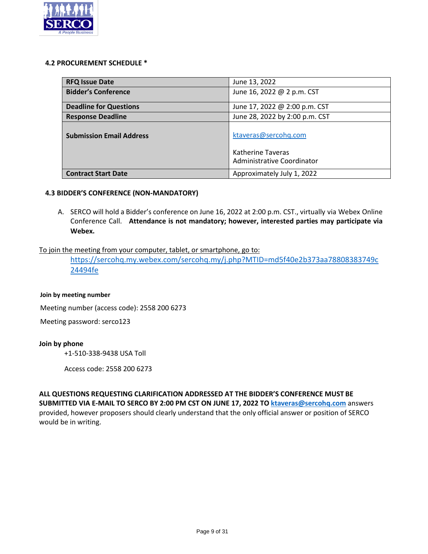

#### **4.2 PROCUREMENT SCHEDULE \***

| <b>RFQ Issue Date</b>           | June 13, 2022                                   |
|---------------------------------|-------------------------------------------------|
| <b>Bidder's Conference</b>      | June 16, 2022 @ 2 p.m. CST                      |
| <b>Deadline for Questions</b>   | June 17, 2022 @ 2:00 p.m. CST                   |
| <b>Response Deadline</b>        | June 28, 2022 by 2:00 p.m. CST                  |
| <b>Submission Email Address</b> | ktaveras@sercohg.com                            |
|                                 | Katherine Taveras<br>Administrative Coordinator |
|                                 |                                                 |
| <b>Contract Start Date</b>      | Approximately July 1, 2022                      |

# **4.3 BIDDER'S CONFERENCE (NON‐MANDATORY)**

A. SERCO will hold a Bidder's conference on June 16, 2022 at 2:00 p.m. CST., virtually via Webex Online Conference Call. **Attendance is not mandatory; however, interested parties may participate via Webex.**

# To join the meeting from your computer, tablet, or smartphone, go to:

[https://sercohq.my.webex.com/sercohq.my/j.php?MTID=md5f40e2b373aa78808383749c](https://sercohq.my.webex.com/sercohq.my/j.php?MTID=md5f40e2b373aa78808383749c24494fe) [24494fe](https://sercohq.my.webex.com/sercohq.my/j.php?MTID=md5f40e2b373aa78808383749c24494fe)

#### **Join by meeting number**

Meeting number (access code): 2558 200 6273

Meeting password: serco123

#### **Join by phone**

+1-510-338-9438 USA Toll

Access code: 2558 200 6273

**ALL QUESTIONS REQUESTING CLARIFICATION ADDRESSED AT THE BIDDER'S CONFERENCE MUST BE SUBMITTED VIA E‐MAIL TO SERCO BY 2:00 PM CST ON JUNE 17, 2022 TO [ktaveras@sercohq.com](mailto:ktaveras@sercohq.com)** answers provided, however proposers should clearly understand that the only official answer or position of SERCO would be in writing.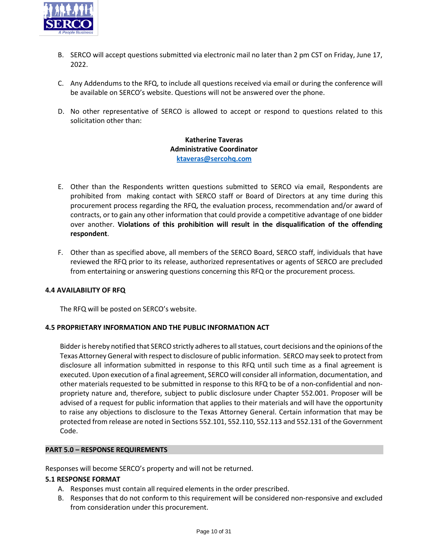

- B. SERCO will accept questions submitted via electronic mail no later than 2 pm CST on Friday, June 17, 2022.
- C. Any Addendums to the RFQ, to include all questions received via email or during the conference will be available on SERCO's website. Questions will not be answered over the phone.
- D. No other representative of SERCO is allowed to accept or respond to questions related to this solicitation other than:

# **Katherine Taveras Administrative Coordinator [ktaveras@sercohq.com](mailto:ktaveras@sercohq.com)**

- E. Other than the Respondents written questions submitted to SERCO via email, Respondents are prohibited from making contact with SERCO staff or Board of Directors at any time during this procurement process regarding the RFQ, the evaluation process, recommendation and/or award of contracts, or to gain any other information that could provide a competitive advantage of one bidder over another. **Violations of this prohibition will result in the disqualification of the offending respondent**.
- F. Other than as specified above, all members of the SERCO Board, SERCO staff, individuals that have reviewed the RFQ prior to its release, authorized representatives or agents of SERCO are precluded from entertaining or answering questions concerning this RFQ or the procurement process.

# **4.4 AVAILABILITY OF RFQ**

The RFQ will be posted on SERCO's website.

# **4.5 PROPRIETARY INFORMATION AND THE PUBLIC INFORMATION ACT**

Bidder is hereby notified that SERCO strictly adheres to all statues, court decisions and the opinions of the Texas Attorney General with respect to disclosure of public information. SERCO may seek to protect from disclosure all information submitted in response to this RFQ until such time as a final agreement is executed. Upon execution of a final agreement, SERCO will consider all information, documentation, and other materials requested to be submitted in response to this RFQ to be of a non‐confidential and non‐ propriety nature and, therefore, subject to public disclosure under Chapter 552.001. Proposer will be advised of a request for public information that applies to their materials and will have the opportunity to raise any objections to disclosure to the Texas Attorney General. Certain information that may be protected from release are noted in Sections 552.101, 552.110, 552.113 and 552.131 of the Government Code.

# **PART 5.0 – RESPONSE REQUIREMENTS**

Responses will become SERCO's property and will not be returned.

# **5.1 RESPONSE FORMAT**

- A. Responses must contain all required elements in the order prescribed.
- B. Responses that do not conform to this requirement will be considered non‐responsive and excluded from consideration under this procurement.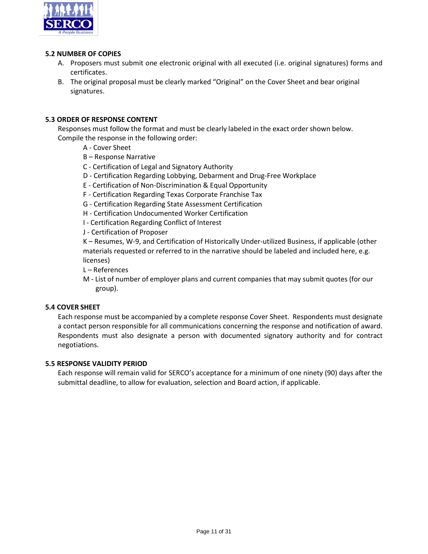

#### **5.2 NUMBER OF COPIES**

- A. Proposers must submit one electronic original with all executed (i.e. original signatures) forms and certificates.
- B. The original proposal must be clearly marked "Original" on the Cover Sheet and bear original signatures.

# **5.3 ORDER OF RESPONSE CONTENT**

Responses must follow the format and must be clearly labeled in the exact order shown below. Compile the response in the following order:

- A ‐ Cover Sheet
- B Response Narrative
- C ‐ Certification of Legal and Signatory Authority
- D ‐ Certification Regarding Lobbying, Debarment and Drug‐Free Workplace
- E ‐ Certification of Non‐Discrimination & Equal Opportunity
- F ‐ Certification Regarding Texas Corporate Franchise Tax
- G ‐ Certification Regarding State Assessment Certification
- H ‐ Certification Undocumented Worker Certification
- I ‐ Certification Regarding Conflict of Interest

J ‐ Certification of Proposer

K – Resumes, W‐9, and Certification of Historically Under‐utilized Business, if applicable (other materials requested or referred to in the narrative should be labeled and included here, e.g. licenses)

L – References

M ‐ List of number of employer plans and current companies that may submit quotes (for our group).

# **5.4 COVER SHEET**

Each response must be accompanied by a complete response Cover Sheet. Respondents must designate a contact person responsible for all communications concerning the response and notification of award. Respondents must also designate a person with documented signatory authority and for contract negotiations.

#### **5.5 RESPONSE VALIDITY PERIOD**

Each response will remain valid for SERCO's acceptance for a minimum of one ninety (90) days after the submittal deadline, to allow for evaluation, selection and Board action, if applicable.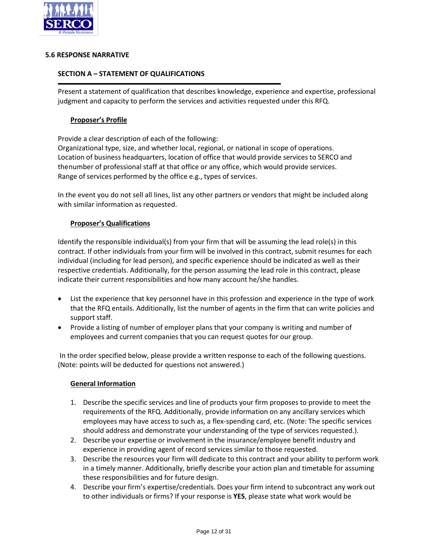

#### **5.6 RESPONSE NARRATIVE**

#### **SECTION A – STATEMENT OF QUALIFICATIONS**

Present a statement of qualification that describes knowledge, experience and expertise, professional judgment and capacity to perform the services and activities requested under this RFQ.

#### **Proposer's Profile**

Provide a clear description of each of the following:

Organizational type, size, and whether local, regional, or national in scope of operations. Location of business headquarters, location of office that would provide services to SERCO and the number of professional staff at that office or any office, which would provide services. Range of services performed by the office e.g., types of services.

In the event you do not sell all lines, list any other partners or vendors that might be included along with similar information as requested.

#### **Proposer's Qualifications**

Identify the responsible individual(s) from your firm that will be assuming the lead role(s) in this contract. If other individuals from your firm will be involved in this contract, submit resumes for each individual (including for lead person), and specific experience should be indicated as well as their respective credentials. Additionally, for the person assuming the lead role in this contract, please indicate their current responsibilities and how many account he/she handles.

- List the experience that key personnel have in this profession and experience in the type of work that the RFQ entails. Additionally, list the number of agents in the firm that can write policies and support staff.
- Provide a listing of number of employer plans that your company is writing and number of employees and current companies that you can request quotes for our group.

In the order specified below, please provide a written response to each of the following questions. (Note: points will be deducted for questions not answered.)

#### **General Information**

- 1. Describe the specific services and line of products your firm proposes to provide to meet the requirements of the RFQ. Additionally, provide information on any ancillary services which employees may have access to such as, a flex‐spending card, etc. (Note: The specific services should address and demonstrate your understanding of the type of services requested.).
- 2. Describe your expertise or involvement in the insurance/employee benefit industry and experience in providing agent of record services similar to those requested.
- 3. Describe the resources your firm will dedicate to this contract and your ability to perform work in a timely manner. Additionally, briefly describe your action plan and timetable for assuming these responsibilities and for future design.
- 4. Describe your firm's expertise/credentials. Does your firm intend to subcontract any work out to other individuals or firms? If your response is **YES**, please state what work would be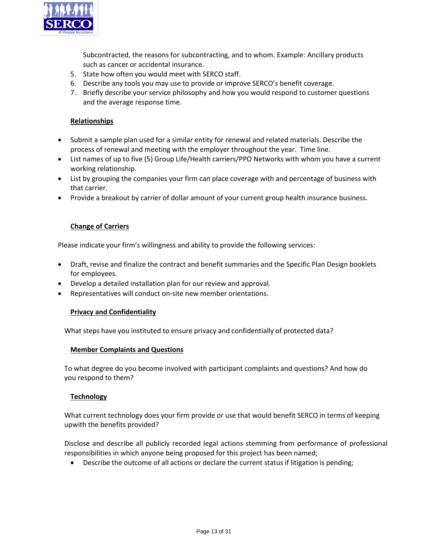

Subcontracted, the reasons for subcontracting, and to whom. Example: Ancillary products such as cancer or accidental insurance.

- 5. State how often you would meet with SERCO staff.
- 6. Describe any tools you may use to provide or improve SERCO's benefit coverage.
- 7. Briefly describe your service philosophy and how you would respond to customer questions and the average response time.

# **Relationships**

- Submit a sample plan used for a similar entity for renewal and related materials. Describe the process of renewal and meeting with the employer throughout the year. Time line.
- List names of up to five (5) Group Life/Health carriers/PPO Networks with whom you have a current working relationship.
- List by grouping the companies your firm can place coverage with and percentage of business with that carrier.
- Provide a breakout by carrier of dollar amount of your current group health insurance business.

#### **Change of Carriers**

Please indicate your firm's willingness and ability to provide the following services:

- Draft, revise and finalize the contract and benefit summaries and the Specific Plan Design booklets for employees.
- Develop a detailed installation plan for our review and approval.
- Representatives will conduct on‐site new member orientations.

#### **Privacy and Confidentiality**

What steps have you instituted to ensure privacy and confidentially of protected data?

#### **Member Complaints and Questions**

To what degree do you become involved with participant complaints and questions? And how do you respond to them?

#### **Technology**

What current technology does your firm provide or use that would benefit SERCO in terms of keeping upwith the benefits provided?

Disclose and describe all publicly recorded legal actions stemming from performance of professional responsibilities in which anyone being proposed for this project has been named;

Describe the outcome of all actions or declare the current status if litigation is pending;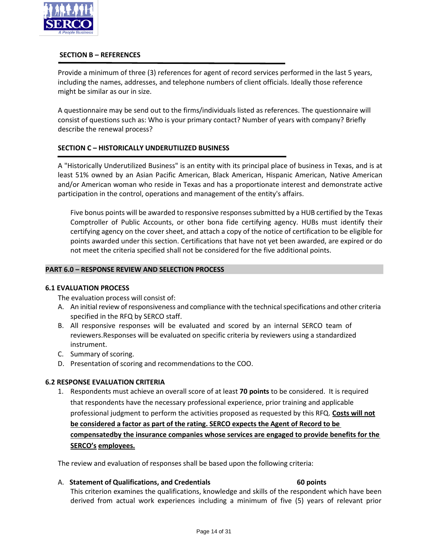

#### **SECTION B – REFERENCES**

Provide a minimum of three (3) references for agent of record services performed in the last 5 years, including the names, addresses, and telephone numbers of client officials. Ideally those reference might be similar as our in size.

A questionnaire may be send out to the firms/individuals listed as references. The questionnaire will consist of questions such as: Who is your primary contact? Number of years with company? Briefly describe the renewal process?

# **SECTION C – HISTORICALLY UNDERUTILIZED BUSINESS**

A "Historically Underutilized Business" is an entity with its principal place of business in Texas, and is at least 51% owned by an Asian Pacific American, Black American, Hispanic American, Native American and/or American woman who reside in Texas and has a proportionate interest and demonstrate active participation in the control, operations and management of the entity's affairs.

Five bonus points will be awarded to responsive responses submitted by a HUB certified by the Texas Comptroller of Public Accounts, or other bona fide certifying agency. HUBs must identify their certifying agency on the cover sheet, and attach a copy of the notice of certification to be eligible for points awarded under this section. Certifications that have not yet been awarded, are expired or do not meet the criteria specified shall not be considered for the five additional points.

# **PART 6.0 – RESPONSE REVIEW AND SELECTION PROCESS**

#### **6.1 EVALUATION PROCESS**

The evaluation process will consist of:

- A. An initial review of responsiveness and compliance with the technical specifications and other criteria specified in the RFQ by SERCO staff.
- B. All responsive responses will be evaluated and scored by an internal SERCO team of reviewers.Responses will be evaluated on specific criteria by reviewers using a standardized instrument.
- C. Summary of scoring.
- D. Presentation of scoring and recommendations to the COO.

# **6.2 RESPONSE EVALUATION CRITERIA**

1. Respondents must achieve an overall score of at least **70 points** to be considered. It is required that respondents have the necessary professional experience, prior training and applicable professional judgment to perform the activities proposed as requested by this RFQ. **Costs will not be considered a factor as part of the rating. SERCO expects the Agent of Record to be compensatedby the insurance companies whose services are engaged to provide benefits for the SERCO's employees.**

The review and evaluation of responses shall be based upon the following criteria:

#### A. **Statement of Qualifications, and Credentials 60 points**

This criterion examines the qualifications, knowledge and skills of the respondent which have been derived from actual work experiences including a minimum of five (5) years of relevant prior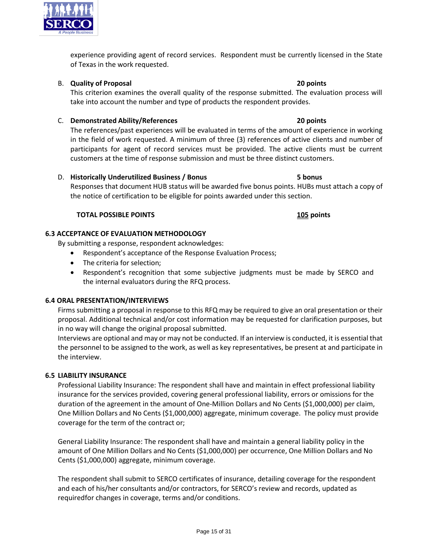experience providing agent of record services. Respondent must be currently licensed in the State of Texas in the work requested.

# B. **Quality of Proposal 20 points**

This criterion examines the overall quality of the response submitted. The evaluation process will take into account the number and type of products the respondent provides.

# C. **Demonstrated Ability/References 20 points**

The references/past experiences will be evaluated in terms of the amount of experience in working in the field of work requested. A minimum of three (3) references of active clients and number of participants for agent of record services must be provided. The active clients must be current customers at the time of response submission and must be three distinct customers.

# D. **Historically Underutilized Business / Bonus 5 bonus**

Responses that document HUB status will be awarded five bonus points. HUBs must attach a copy of the notice of certification to be eligible for points awarded under this section.

# **TOTAL POSSIBLE POINTS 105 points**

# **6.3 ACCEPTANCE OF EVALUATION METHODOLOGY**

By submitting a response, respondent acknowledges:

- Respondent's acceptance of the Response Evaluation Process;
- The criteria for selection;
- Respondent's recognition that some subjective judgments must be made by SERCO and the internal evaluators during the RFQ process.

# **6.4 ORAL PRESENTATION/INTERVIEWS**

Firms submitting a proposal in response to this RFQ may be required to give an oral presentation or their proposal. Additional technical and/or cost information may be requested for clarification purposes, but in no way will change the original proposal submitted.

Interviews are optional and may or may not be conducted. If an interview is conducted, it is essential that the personnel to be assigned to the work, as well as key representatives, be present at and participate in the interview.

# **6.5 LIABILITY INSURANCE**

Professional Liability Insurance: The respondent shall have and maintain in effect professional liability insurance for the services provided, covering general professional liability, errors or omissions for the duration of the agreement in the amount of One-Million Dollars and No Cents (\$1,000,000) per claim, One Million Dollars and No Cents (\$1,000,000) aggregate, minimum coverage. The policy must provide coverage for the term of the contract or;

General Liability Insurance: The respondent shall have and maintain a general liability policy in the amount of One Million Dollars and No Cents (\$1,000,000) per occurrence, One Million Dollars and No Cents (\$1,000,000) aggregate, minimum coverage.

The respondent shall submit to SERCO certificates of insurance, detailing coverage for the respondent and each of his/her consultants and/or contractors, for SERCO's review and records, updated as requiredfor changes in coverage, terms and/or conditions.

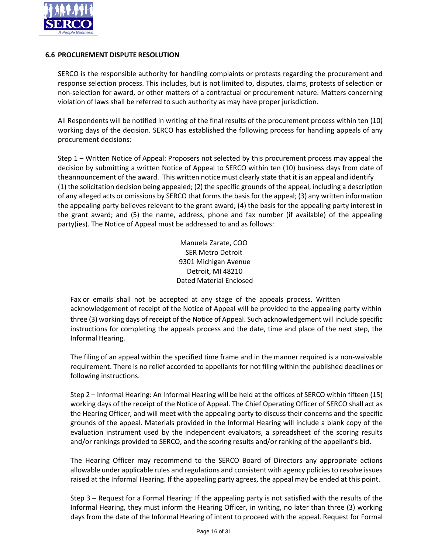

# **6.6 PROCUREMENT DISPUTE RESOLUTION**

SERCO is the responsible authority for handling complaints or protests regarding the procurement and response selection process. This includes, but is not limited to, disputes, claims, protests of selection or non‐selection for award, or other matters of a contractual or procurement nature. Matters concerning violation of laws shall be referred to such authority as may have proper jurisdiction.

All Respondents will be notified in writing of the final results of the procurement process within ten (10) working days of the decision. SERCO has established the following process for handling appeals of any procurement decisions:

Step 1 – Written Notice of Appeal: Proposers not selected by this procurement process may appeal the decision by submitting a written Notice of Appeal to SERCO within ten (10) business days from date of the announcement of the award. This written notice must clearly state that it is an appeal and identify (1) the solicitation decision being appealed; (2) the specific grounds of the appeal, including a description of any alleged acts or omissions by SERCO that forms the basis for the appeal; (3) any written information the appealing party believes relevant to the grant award; (4) the basis for the appealing party interest in the grant award; and (5) the name, address, phone and fax number (if available) of the appealing party(ies). The Notice of Appeal must be addressed to and as follows:

> Manuela Zarate, COO SER Metro Detroit 9301 Michigan Avenue Detroit, MI 48210 Dated Material Enclosed

Fax or emails shall not be accepted at any stage of the appeals process. Written acknowledgement of receipt of the Notice of Appeal will be provided to the appealing party within three (3) working days of receipt of the Notice of Appeal. Such acknowledgement will include specific instructions for completing the appeals process and the date, time and place of the next step, the Informal Hearing.

The filing of an appeal within the specified time frame and in the manner required is a non‐waivable requirement. There is no relief accorded to appellants for not filing within the published deadlines or following instructions.

Step 2 – Informal Hearing: An Informal Hearing will be held at the offices of SERCO within fifteen (15) working days of the receipt of the Notice of Appeal. The Chief Operating Officer of SERCO shall act as the Hearing Officer, and will meet with the appealing party to discuss their concerns and the specific grounds of the appeal. Materials provided in the Informal Hearing will include a blank copy of the evaluation instrument used by the independent evaluators, a spreadsheet of the scoring results and/or rankings provided to SERCO, and the scoring results and/or ranking of the appellant's bid.

The Hearing Officer may recommend to the SERCO Board of Directors any appropriate actions allowable under applicable rules and regulations and consistent with agency policies to resolve issues raised at the Informal Hearing. If the appealing party agrees, the appeal may be ended at this point.

Step 3 – Request for a Formal Hearing: If the appealing party is not satisfied with the results of the Informal Hearing, they must inform the Hearing Officer, in writing, no later than three (3) working days from the date of the Informal Hearing of intent to proceed with the appeal. Request for Formal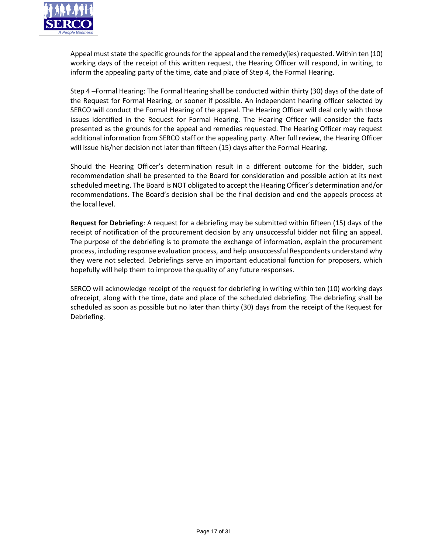

Appeal must state the specific grounds for the appeal and the remedy(ies) requested. Within ten (10) working days of the receipt of this written request, the Hearing Officer will respond, in writing, to inform the appealing party of the time, date and place of Step 4, the Formal Hearing.

Step 4 –Formal Hearing: The Formal Hearing shall be conducted within thirty (30) days of the date of the Request for Formal Hearing, or sooner if possible. An independent hearing officer selected by SERCO will conduct the Formal Hearing of the appeal. The Hearing Officer will deal only with those issues identified in the Request for Formal Hearing. The Hearing Officer will consider the facts presented as the grounds for the appeal and remedies requested. The Hearing Officer may request additional information from SERCO staff or the appealing party. After full review, the Hearing Officer will issue his/her decision not later than fifteen (15) days after the Formal Hearing.

Should the Hearing Officer's determination result in a different outcome for the bidder, such recommendation shall be presented to the Board for consideration and possible action at its next scheduled meeting. The Board is NOT obligated to accept the Hearing Officer's determination and/or recommendations. The Board's decision shall be the final decision and end the appeals process at the local level.

**Request for Debriefing**: A request for a debriefing may be submitted within fifteen (15) days of the receipt of notification of the procurement decision by any unsuccessful bidder not filing an appeal. The purpose of the debriefing is to promote the exchange of information, explain the procurement process, including response evaluation process, and help unsuccessful Respondents understand why they were not selected. Debriefings serve an important educational function for proposers, which hopefully will help them to improve the quality of any future responses.

SERCO will acknowledge receipt of the request for debriefing in writing within ten (10) working days ofreceipt, along with the time, date and place of the scheduled debriefing. The debriefing shall be scheduled as soon as possible but no later than thirty (30) days from the receipt of the Request for Debriefing.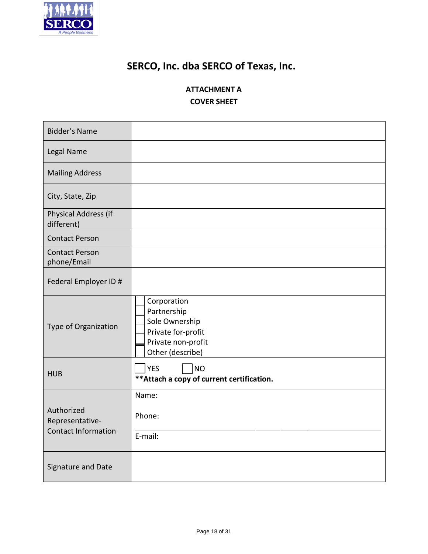

# **SERCO, Inc. dba SERCO of Texas, Inc.**

# **ATTACHMENT A COVER SHEET**

| <b>Bidder's Name</b>                                        |                                                                                                              |
|-------------------------------------------------------------|--------------------------------------------------------------------------------------------------------------|
| Legal Name                                                  |                                                                                                              |
| <b>Mailing Address</b>                                      |                                                                                                              |
| City, State, Zip                                            |                                                                                                              |
| Physical Address (if<br>different)                          |                                                                                                              |
| <b>Contact Person</b>                                       |                                                                                                              |
| <b>Contact Person</b><br>phone/Email                        |                                                                                                              |
| Federal Employer ID #                                       |                                                                                                              |
| Type of Organization                                        | Corporation<br>Partnership<br>Sole Ownership<br>Private for-profit<br>Private non-profit<br>Other (describe) |
| <b>HUB</b>                                                  | <b>NO</b><br><b>YES</b><br>** Attach a copy of current certification.                                        |
| Authorized<br>Representative-<br><b>Contact Information</b> | Name:<br>Phone:<br>E-mail:                                                                                   |
| Signature and Date                                          |                                                                                                              |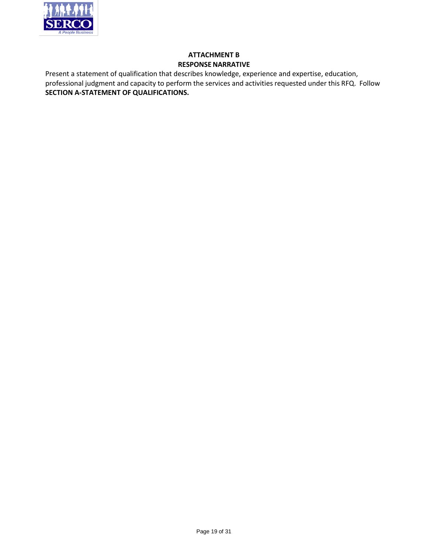

# **ATTACHMENT B RESPONSE NARRATIVE**

Present a statement of qualification that describes knowledge, experience and expertise, education, professional judgment and capacity to perform the services and activities requested under this RFQ. Follow **SECTION A‐STATEMENT OF QUALIFICATIONS.**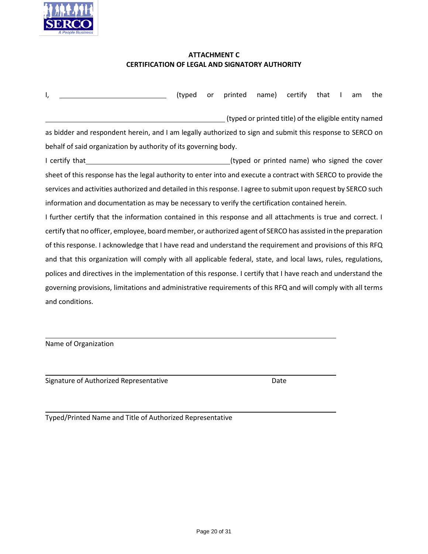

# **ATTACHMENT C CERTIFICATION OF LEGAL AND SIGNATORY AUTHORITY**

| ı,                                                                                                             | (typed | or | printed | name) | certify                                               | that | am | the |
|----------------------------------------------------------------------------------------------------------------|--------|----|---------|-------|-------------------------------------------------------|------|----|-----|
|                                                                                                                |        |    |         |       | (typed or printed title) of the eligible entity named |      |    |     |
| as bidder and respondent herein, and I am legally authorized to sign and submit this response to SERCO on      |        |    |         |       |                                                       |      |    |     |
| behalf of said organization by authority of its governing body.                                                |        |    |         |       |                                                       |      |    |     |
| I certify that                                                                                                 |        |    |         |       | (typed or printed name) who signed the cover          |      |    |     |
| sheet of this response has the legal authority to enter into and execute a contract with SERCO to provide the  |        |    |         |       |                                                       |      |    |     |
| services and activities authorized and detailed in this response. I agree to submit upon request by SERCO such |        |    |         |       |                                                       |      |    |     |
| information and documentation as may be necessary to verify the certification contained herein.                |        |    |         |       |                                                       |      |    |     |
| I further certify that the information contained in this response and all attachments is true and correct. I   |        |    |         |       |                                                       |      |    |     |
| certify that no officer, employee, board member, or authorized agent of SERCO has assisted in the preparation  |        |    |         |       |                                                       |      |    |     |
| of this response. I acknowledge that I have read and understand the requirement and provisions of this RFQ     |        |    |         |       |                                                       |      |    |     |
| and that this organization will comply with all applicable federal, state, and local laws, rules, regulations, |        |    |         |       |                                                       |      |    |     |
| polices and directives in the implementation of this response. I certify that I have reach and understand the  |        |    |         |       |                                                       |      |    |     |
| governing provisions, limitations and administrative requirements of this RFQ and will comply with all terms   |        |    |         |       |                                                       |      |    |     |
| and conditions.                                                                                                |        |    |         |       |                                                       |      |    |     |

Name of Organization

Signature of Authorized Representative Date

Typed/Printed Name and Title of Authorized Representative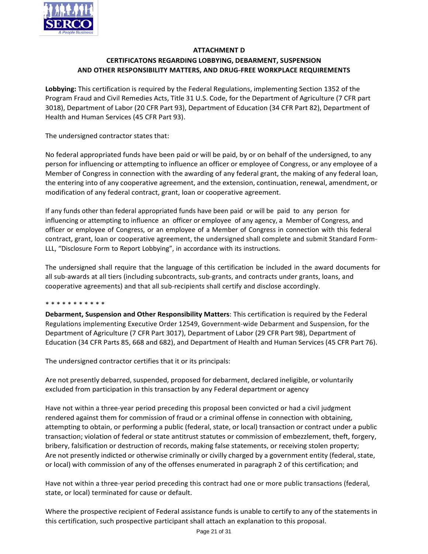

# **ATTACHMENT D**

# **CERTIFICATONS REGARDING LOBBYING, DEBARMENT, SUSPENSION AND OTHER RESPONSIBILITY MATTERS, AND DRUG--‐FREE WORKPLACE REQUIREMENTS**

**Lobbying:** This certification is required by the Federal Regulations, implementing Section 1352 of the Program Fraud and Civil Remedies Acts, Title 31 U.S. Code, for the Department of Agriculture (7 CFR part 3018), Department of Labor (20 CFR Part 93), Department of Education (34 CFR Part 82), Department of Health and Human Services (45 CFR Part 93).

The undersigned contractor states that:

No federal appropriated funds have been paid or will be paid, by or on behalf of the undersigned, to any person for influencing or attempting to influence an officer or employee of Congress, or any employee of a Member of Congress in connection with the awarding of any federal grant, the making of any federal loan, the entering into of any cooperative agreement, and the extension, continuation, renewal, amendment, or modification of any federal contract, grant, loan or cooperative agreement.

If any funds other than federal appropriated funds have been paid or will be paid to any person for influencing or attempting to influence an officer or employee of any agency, a Member of Congress, and officer or employee of Congress, or an employee of a Member of Congress in connection with this federal contract, grant, loan or cooperative agreement, the undersigned shall complete and submit Standard Form-LLL, "Disclosure Form to Report Lobbying", in accordance with its instructions.

The undersigned shall require that the language of this certification be included in the award documents for all sub-awards at all tiers (including subcontracts, sub-grants, and contracts under grants, loans, and cooperative agreements) and that all sub-recipients shall certify and disclose accordingly.

#### \* \* \* \* \* \* \* \* \* \* \*

**Debarment, Suspension and Other Responsibility Matters**: This certification is required by the Federal Regulations implementing Executive Order 12549, Government-wide Debarment and Suspension, for the Department of Agriculture (7 CFR Part 3017), Department of Labor (29 CFR Part 98), Department of Education (34 CFR Parts 85, 668 and 682), and Department of Health and Human Services (45 CFR Part 76).

The undersigned contractor certifies that it or its principals:

Are not presently debarred, suspended, proposed for debarment, declared ineligible, or voluntarily excluded from participation in this transaction by any Federal department or agency

Have not within a three-year period preceding this proposal been convicted or had a civil judgment rendered against them for commission of fraud or a criminal offense in connection with obtaining, attempting to obtain, or performing a public (federal, state, or local) transaction or contract under a public transaction; violation of federal or state antitrust statutes or commission of embezzlement, theft, forgery, bribery, falsification or destruction of records, making false statements, or receiving stolen property; Are not presently indicted or otherwise criminally or civilly charged by a government entity (federal, state, or local) with commission of any of the offenses enumerated in paragraph 2 of this certification; and

Have not within a three-year period preceding this contract had one or more public transactions (federal, state, or local) terminated for cause or default.

Where the prospective recipient of Federal assistance funds is unable to certify to any of the statements in this certification, such prospective participant shall attach an explanation to this proposal.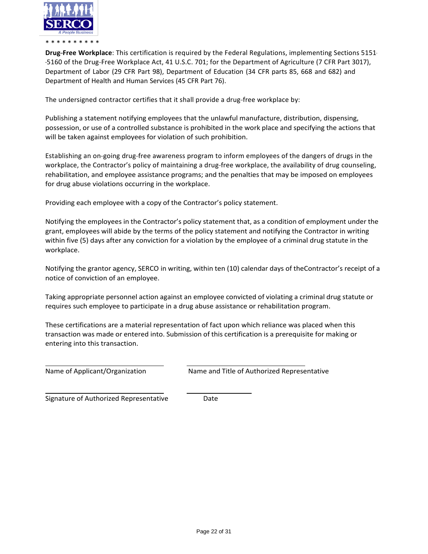

**Drug-Free Workplace**: This certification is required by the Federal Regulations, implementing Sections 5151--‐5160 of the Drug--‐Free Workplace Act, 41 U.S.C. 701; for the Department of Agriculture (7 CFR Part 3017), Department of Labor (29 CFR Part 98), Department of Education (34 CFR parts 85, 668 and 682) and Department of Health and Human Services (45 CFR Part 76).

The undersigned contractor certifies that it shall provide a drug-free workplace by:

Publishing a statement notifying employees that the unlawful manufacture, distribution, dispensing, possession, or use of a controlled substance is prohibited in the work place and specifying the actions that will be taken against employees for violation of such prohibition.

Establishing an on-going drug-free awareness program to inform employees of the dangers of drugs in the workplace, the Contractor's policy of maintaining a drug-free workplace, the availability of drug counseling, rehabilitation, and employee assistance programs; and the penalties that may be imposed on employees for drug abuse violations occurring in the workplace.

Providing each employee with a copy of the Contractor's policy statement.

Notifying the employees in the Contractor's policy statement that, as a condition of employment under the grant, employees will abide by the terms of the policy statement and notifying the Contractor in writing within five (5) days after any conviction for a violation by the employee of a criminal drug statute in the workplace.

Notifying the grantor agency, SERCO in writing, within ten (10) calendar days of theContractor's receipt of a notice of conviction of an employee.

Taking appropriate personnel action against an employee convicted of violating a criminal drug statute or requires such employee to participate in a drug abuse assistance or rehabilitation program.

These certifications are a material representation of fact upon which reliance was placed when this transaction was made or entered into. Submission of this certification is a prerequisite for making or entering into this transaction.

Name of Applicant/Organization Name and Title of Authorized Representative

Signature of Authorized Representative **Date**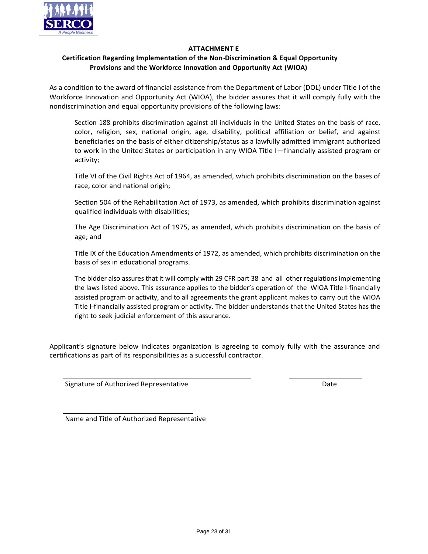

# **ATTACHMENT E**

# **Certification Regarding Implementation of the Non--‐Discrimination & Equal Opportunity Provisions and the Workforce Innovation and Opportunity Act (WIOA)**

As a condition to the award of financial assistance from the Department of Labor (DOL) under Title I of the Workforce Innovation and Opportunity Act (WIOA), the bidder assures that it will comply fully with the nondiscrimination and equal opportunity provisions of the following laws:

Section 188 prohibits discrimination against all individuals in the United States on the basis of race, color, religion, sex, national origin, age, disability, political affiliation or belief, and against beneficiaries on the basis of either citizenship/status as a lawfully admitted immigrant authorized to work in the United States or participation in any WIOA Title I—financially assisted program or activity;

Title VI of the Civil Rights Act of 1964, as amended, which prohibits discrimination on the bases of race, color and national origin;

Section 504 of the Rehabilitation Act of 1973, as amended, which prohibits discrimination against qualified individuals with disabilities;

The Age Discrimination Act of 1975, as amended, which prohibits discrimination on the basis of age; and

Title IX of the Education Amendments of 1972, as amended, which prohibits discrimination on the basis of sex in educational programs.

The bidder also assures that it will comply with 29 CFR part 38 and all other regulations implementing the laws listed above. This assurance applies to the bidder's operation of the WIOA Title I-financially assisted program or activity, and to all agreements the grant applicant makes to carry out the WIOA Title I-financially assisted program or activity. The bidder understands that the United States has the right to seek judicial enforcement of this assurance.

Applicant's signature below indicates organization is agreeing to comply fully with the assurance and certifications as part of its responsibilities as a successful contractor.

Signature of Authorized Representative Date Date Date

Name and Title of Authorized Representative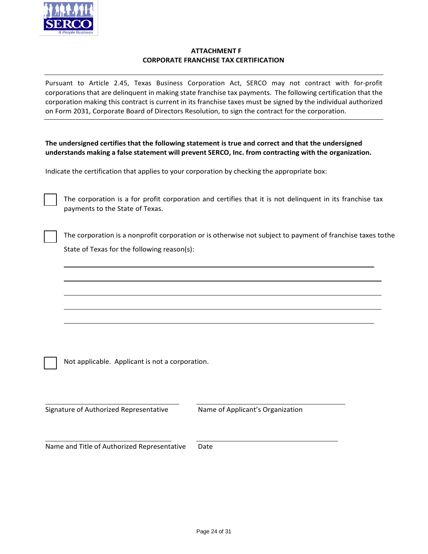

# **ATTACHMENT F CORPORATE FRANCHISE TAX CERTIFICATION**

Pursuant to Article 2.45, Texas Business Corporation Act, SERCO may not contract with for-profit corporations that are delinquent in making state franchise tax payments. The following certification that the corporation making this contract is current in its franchise taxes must be signed by the individual authorized on Form 2031, Corporate Board of Directors Resolution, to sign the contract for the corporation.

| The undersigned certifies that the following statement is true and correct and that the undersigned   |
|-------------------------------------------------------------------------------------------------------|
| understands making a false statement will prevent SERCO, Inc. from contracting with the organization. |

Indicate the certification that applies to your corporation by checking the appropriate box:

The corporation is a for profit corporation and certifies that it is not delinquent in its franchise tax payments to the State of Texas.

The corporation is a nonprofit corporation or is otherwise not subject to payment of franchise taxes tothe State of Texas for the following reason(s):

Not applicable. Applicant is not a corporation.

Signature of Authorized Representative Mame of Applicant's Organization

Name and Title of Authorized Representative Date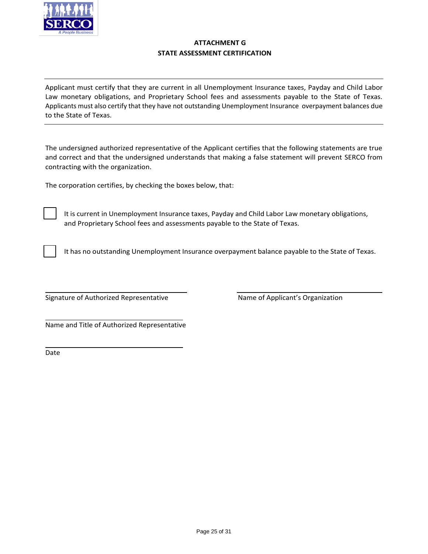

# **ATTACHMENT G STATE ASSESSMENT CERTIFICATION**

Applicant must certify that they are current in all Unemployment Insurance taxes, Payday and Child Labor Law monetary obligations, and Proprietary School fees and assessments payable to the State of Texas. Applicants must also certify that they have not outstanding Unemployment Insurance overpayment balances due to the State of Texas.

The undersigned authorized representative of the Applicant certifies that the following statements are true and correct and that the undersigned understands that making a false statement will prevent SERCO from contracting with the organization.

The corporation certifies, by checking the boxes below, that:

It is current in Unemployment Insurance taxes, Payday and Child Labor Law monetary obligations, and Proprietary School fees and assessments payable to the State of Texas.

It has no outstanding Unemployment Insurance overpayment balance payable to the State of Texas.

Signature of Authorized Representative Name of Applicant's Organization

Name and Title of Authorized Representative

Date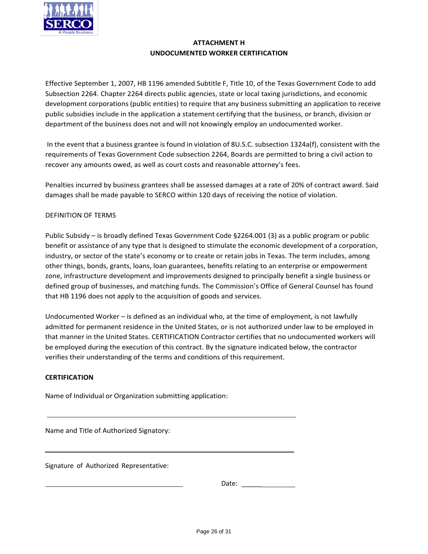

# **ATTACHMENT H UNDOCUMENTED WORKER CERTIFICATION**

Effective September 1, 2007, HB 1196 amended Subtitle F, Title 10, of the Texas Government Code to add Subsection 2264. Chapter 2264 directs public agencies, state or local taxing jurisdictions, and economic development corporations (public entities) to require that any business submitting an application to receive public subsidies include in the application a statement certifying that the business, or branch, division or department of the business does not and will not knowingly employ an undocumented worker.

In the event that a business grantee is found in violation of 8U.S.C. subsection 1324a(f), consistent with the requirements of Texas Government Code subsection 2264, Boards are permitted to bring a civil action to recover any amounts owed, as well as court costs and reasonable attorney's fees.

Penalties incurred by business grantees shall be assessed damages at a rate of 20% of contract award. Said damages shall be made payable to SERCO within 120 days of receiving the notice of violation.

# DEFINITION OF TERMS

Public Subsidy – is broadly defined Texas Government Code §2264.001 (3) as a public program or public benefit or assistance of any type that is designed to stimulate the economic development of a corporation, industry, or sector of the state's economy or to create or retain jobs in Texas. The term includes, among other things, bonds, grants, loans, loan guarantees, benefits relating to an enterprise or empowerment zone, infrastructure development and improvements designed to principally benefit a single business or defined group of businesses, and matching funds. The Commission's Office of General Counsel has found that HB 1196 does not apply to the acquisition of goods and services.

Undocumented Worker – is defined as an individual who, at the time of employment, is not lawfully admitted for permanent residence in the United States, or is not authorized under law to be employed in that manner in the United States. CERTIFICATION Contractor certifies that no undocumented workers will be employed during the execution of this contract. By the signature indicated below, the contractor verifies their understanding of the terms and conditions of this requirement.

# **CERTIFICATION**

Name of Individual or Organization submitting application:

Name and Title of Authorized Signatory:

Signature of Authorized Representative: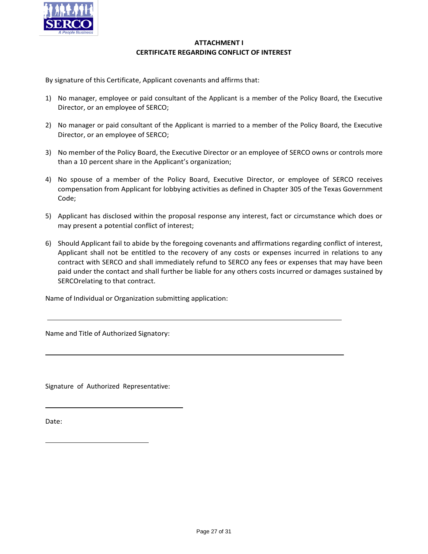

# **ATTACHMENT I CERTIFICATE REGARDING CONFLICT OF INTEREST**

By signature of this Certificate, Applicant covenants and affirms that:

- 1) No manager, employee or paid consultant of the Applicant is a member of the Policy Board, the Executive Director, or an employee of SERCO;
- 2) No manager or paid consultant of the Applicant is married to a member of the Policy Board, the Executive Director, or an employee of SERCO;
- 3) No member of the Policy Board, the Executive Director or an employee of SERCO owns or controls more than a 10 percent share in the Applicant's organization;
- 4) No spouse of a member of the Policy Board, Executive Director, or employee of SERCO receives compensation from Applicant for lobbying activities as defined in Chapter 305 of the Texas Government Code;
- 5) Applicant has disclosed within the proposal response any interest, fact or circumstance which does or may present a potential conflict of interest;
- 6) Should Applicant fail to abide by the foregoing covenants and affirmations regarding conflict of interest, Applicant shall not be entitled to the recovery of any costs or expenses incurred in relations to any contract with SERCO and shall immediately refund to SERCO any fees or expenses that may have been paid under the contact and shall further be liable for any others costs incurred or damages sustained by SERCOrelating to that contract.

Name of Individual or Organization submitting application:

Name and Title of Authorized Signatory:

Signature of Authorized Representative:

Date: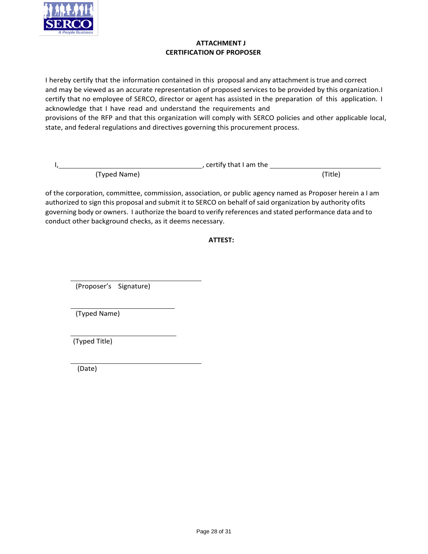

# **ATTACHMENT J CERTIFICATION OF PROPOSER**

I hereby certify that the information contained in this proposal and any attachment is true and correct and may be viewed as an accurate representation of proposed services to be provided by this organization.I certify that no employee of SERCO, director or agent has assisted in the preparation of this application. I acknowledge that I have read and understand the requirements and provisions of the RFP and that this organization will comply with SERCO policies and other applicable local, state, and federal regulations and directives governing this procurement process.

|              | , certify that I am the |         |
|--------------|-------------------------|---------|
| (Typed Name) |                         | (Title) |

of the corporation, committee, commission, association, or public agency named as Proposer herein a I am authorized to sign this proposal and submit it to SERCO on behalf of said organization by authority ofits governing body or owners. I authorize the board to verify references and stated performance data and to conduct other background checks, as it deems necessary.

# **ATTEST:**

(Proposer's Signature)

(Typed Name)

(Typed Title)

(Date)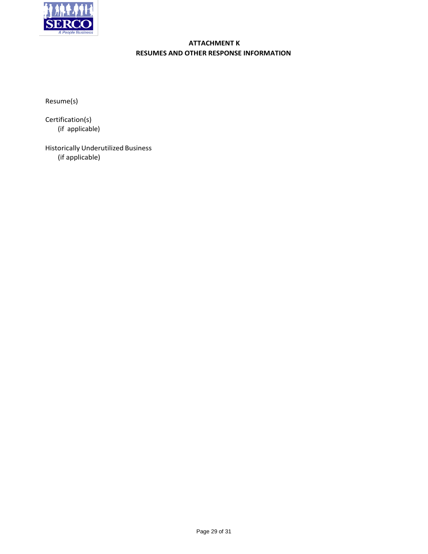

# **ATTACHMENT K RESUMES AND OTHER RESPONSE INFORMATION**

Resume(s)

Certification(s) (if applicable)

Historically Underutilized Business (if applicable)